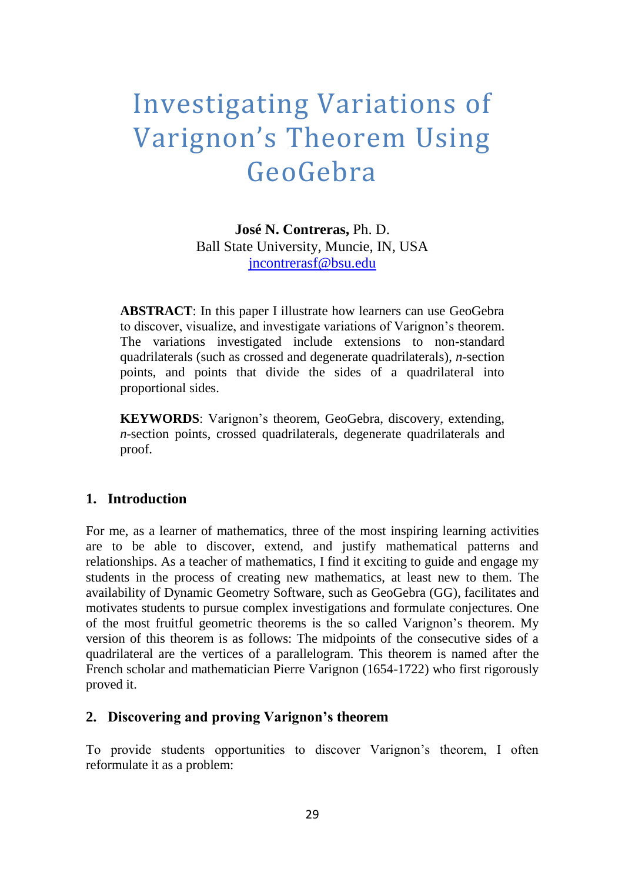# Investigating Variations of Varignon's Theorem Using GeoGebra

**José N. Contreras,** Ph. D. Ball State University, Muncie, IN, USA [jncontrerasf@bsu.edu](mailto:jncontrerasf@bsu.edu)

**ABSTRACT**: In this paper I illustrate how learners can use GeoGebra to discover, visualize, and investigate variations of Varignon's theorem. The variations investigated include extensions to non-standard quadrilaterals (such as crossed and degenerate quadrilaterals), *n*-section points, and points that divide the sides of a quadrilateral into proportional sides.

**KEYWORDS**: Varignon's theorem, GeoGebra, discovery, extending, *n*-section points, crossed quadrilaterals, degenerate quadrilaterals and proof.

#### **1. Introduction**

For me, as a learner of mathematics, three of the most inspiring learning activities are to be able to discover, extend, and justify mathematical patterns and relationships. As a teacher of mathematics, I find it exciting to guide and engage my students in the process of creating new mathematics, at least new to them. The availability of Dynamic Geometry Software, such as GeoGebra (GG), facilitates and motivates students to pursue complex investigations and formulate conjectures. One of the most fruitful geometric theorems is the so called Varignon's theorem. My version of this theorem is as follows: The midpoints of the consecutive sides of a quadrilateral are the vertices of a parallelogram. This theorem is named after the French scholar and mathematician Pierre Varignon (1654-1722) who first rigorously proved it.

## **2. Discovering and proving Varignon's theorem**

To provide students opportunities to discover Varignon's theorem, I often reformulate it as a problem: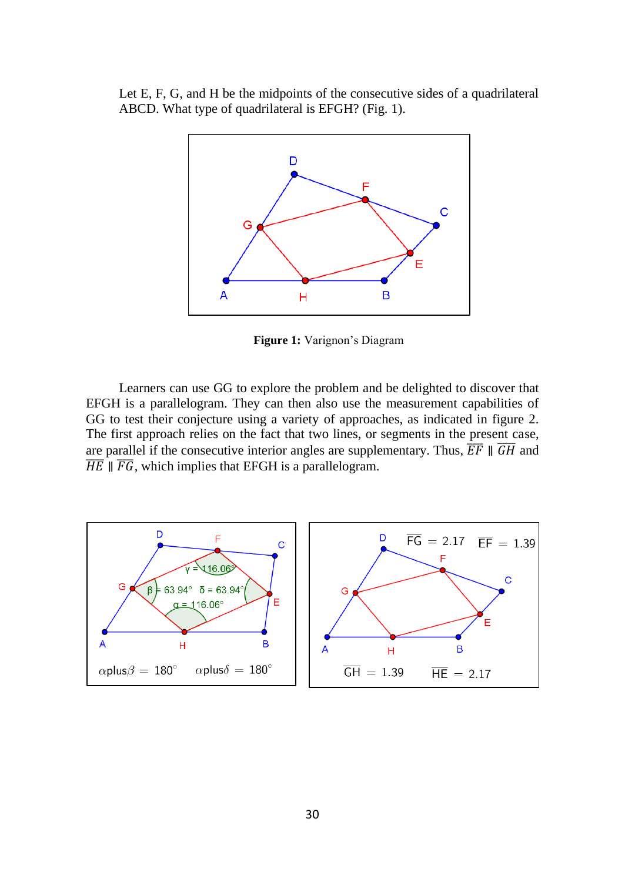Let E, F, G, and H be the midpoints of the consecutive sides of a quadrilateral ABCD. What type of quadrilateral is EFGH? (Fig. 1).



**Figure 1:** Varignon's Diagram

Learners can use GG to explore the problem and be delighted to discover that EFGH is a parallelogram. They can then also use the measurement capabilities of GG to test their conjecture using a variety of approaches, as indicated in figure 2. The first approach relies on the fact that two lines, or segments in the present case, are parallel if the consecutive interior angles are supplementary. Thus,  $\overline{EF} \parallel \overline{GH}$  and  $\overline{HE}$   $\parallel$   $\overline{FG}$ , which implies that EFGH is a parallelogram.

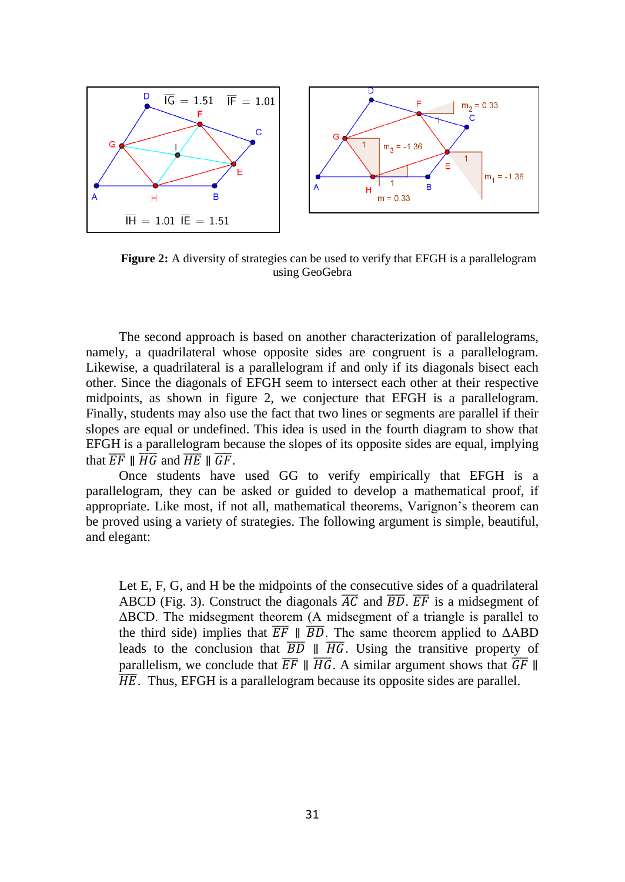

**Figure 2:** A diversity of strategies can be used to verify that EFGH is a parallelogram using GeoGebra

The second approach is based on another characterization of parallelograms, namely, a quadrilateral whose opposite sides are congruent is a parallelogram. Likewise, a quadrilateral is a parallelogram if and only if its diagonals bisect each other. Since the diagonals of EFGH seem to intersect each other at their respective midpoints, as shown in figure 2, we conjecture that EFGH is a parallelogram. Finally, students may also use the fact that two lines or segments are parallel if their slopes are equal or undefined. This idea is used in the fourth diagram to show that EFGH is a parallelogram because the slopes of its opposite sides are equal, implying that  $\overline{EF}$   $\parallel \overline{HG}$  and  $\overline{HE}$   $\parallel \overline{GF}$ .

Once students have used GG to verify empirically that EFGH is a parallelogram, they can be asked or guided to develop a mathematical proof, if appropriate. Like most, if not all, mathematical theorems, Varignon's theorem can be proved using a variety of strategies. The following argument is simple, beautiful, and elegant:

Let E, F, G, and H be the midpoints of the consecutive sides of a quadrilateral ABCD (Fig. 3). Construct the diagonals  $\overline{AC}$  and  $\overline{BD}$ .  $\overline{EF}$  is a midsegment of ΔBCD. The midsegment theorem (A midsegment of a triangle is parallel to the third side) implies that  $\overline{EF}$   $\parallel$   $\overline{BD}$ . The same theorem applied to  $\triangle ABD$ leads to the conclusion that  $\overline{BD}$   $\parallel \overline{HG}$ . Using the transitive property of parallelism, we conclude that  $\overline{EF} \parallel \overline{HG}$ . A similar argument shows that  $\overline{GF} \parallel$  $\overline{HE}$ . Thus, EFGH is a parallelogram because its opposite sides are parallel.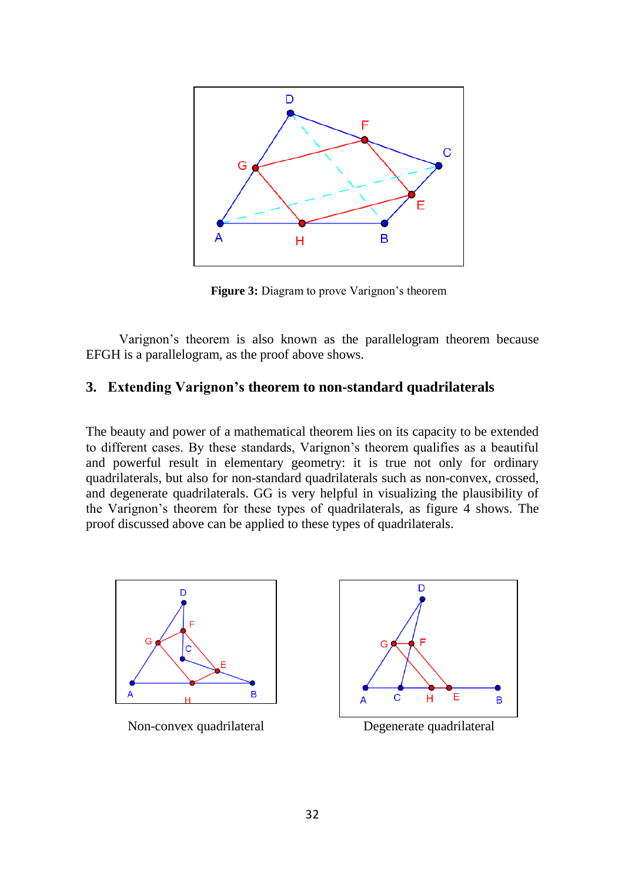

**Figure 3:** Diagram to prove Varignon's theorem

Varignon's theorem is also known as the parallelogram theorem because EFGH is a parallelogram, as the proof above shows.

### **3. Extending Varignon's theorem to non-standard quadrilaterals**

The beauty and power of a mathematical theorem lies on its capacity to be extended to different cases. By these standards, Varignon's theorem qualifies as a beautiful and powerful result in elementary geometry: it is true not only for ordinary quadrilaterals, but also for non-standard quadrilaterals such as non-convex, crossed, and degenerate quadrilaterals. GG is very helpful in visualizing the plausibility of the Varignon's theorem for these types of quadrilaterals, as figure 4 shows. The proof discussed above can be applied to these types of quadrilaterals.



Non-convex quadrilateral Degenerate quadrilateral

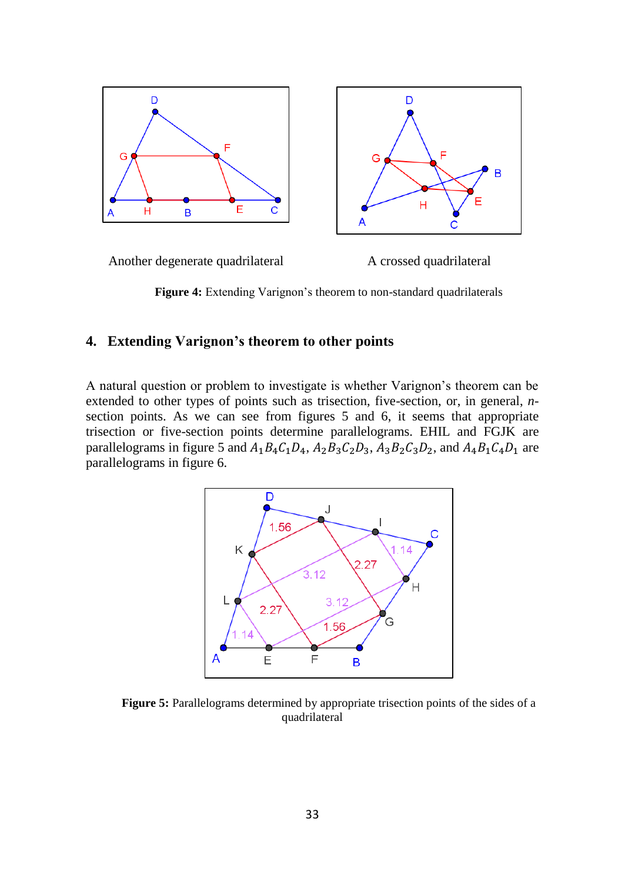

**Figure 4:** Extending Varignon's theorem to non-standard quadrilaterals

## **4. Extending Varignon's theorem to other points**

A natural question or problem to investigate is whether Varignon's theorem can be extended to other types of points such as trisection, five-section, or, in general, *n*section points. As we can see from figures 5 and 6, it seems that appropriate trisection or five-section points determine parallelograms. EHIL and FGJK are parallelograms in figure 5 and  $A_1B_4C_1D_4$ ,  $A_2B_3C_2D_3$ ,  $A_3B_2C_3D_2$ , and  $A_4B_1C_4D_1$  are parallelograms in figure 6.



**Figure 5:** Parallelograms determined by appropriate trisection points of the sides of a quadrilateral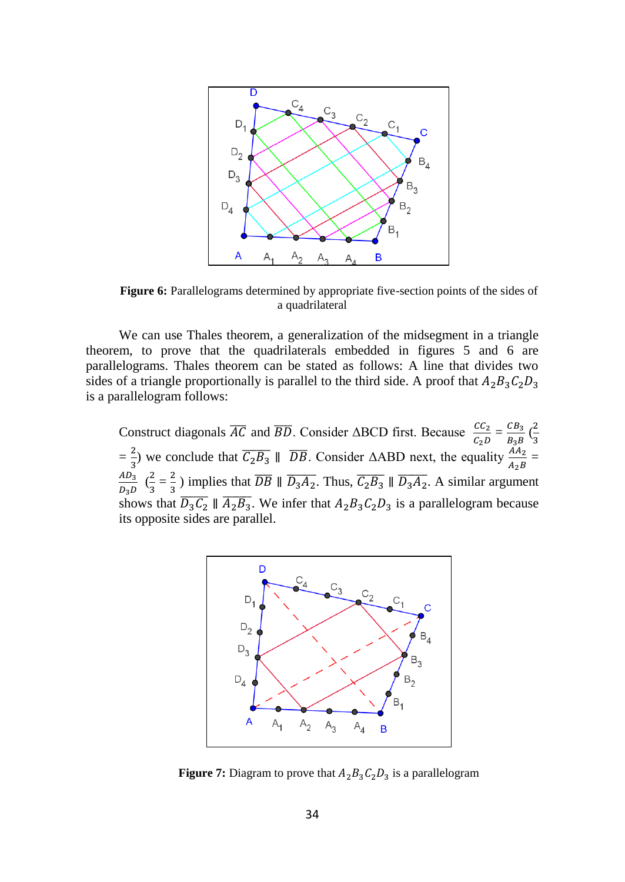

**Figure 6:** Parallelograms determined by appropriate five-section points of the sides of a quadrilateral

We can use Thales theorem, a generalization of the midsegment in a triangle theorem, to prove that the quadrilaterals embedded in figures 5 and 6 are parallelograms. Thales theorem can be stated as follows: A line that divides two sides of a triangle proportionally is parallel to the third side. A proof that  $A_2B_3C_2D_3$ is a parallelogram follows:

Construct diagonals  $\overline{AC}$  and  $\overline{BD}$ . Consider  $\triangle BCD$  first. Because  $\frac{CC_2}{C_2D} = \frac{CB_3}{B_3B}$  $rac{CB_3}{B_3B}$   $\left(\frac{2}{3}\right)$ 3  $=\frac{2}{3}$  $\frac{2}{3}$ ) we conclude that  $\overline{C_2B_3} \parallel \overline{DB}$ . Consider  $\triangle ABD$  next, the equality  $\frac{A_{A_2}}{A_2B}$  =  $AD_3$  $\frac{AD_3}{D_3D} \begin{pmatrix} 2 \\ 3 \end{pmatrix}$  $\frac{2}{3} = \frac{2}{3}$  $\frac{2}{3}$ ) implies that  $\overline{DB} \parallel \overline{D_3A_2}$ . Thus,  $\overline{C_2B_3} \parallel \overline{D_3A_2}$ . A similar argument shows that  $\overline{D_3C_2} \parallel \overline{A_2B_3}$ . We infer that  $A_2B_3C_2D_3$  is a parallelogram because its opposite sides are parallel.



**Figure 7:** Diagram to prove that  $A_2B_3C_2D_3$  is a parallelogram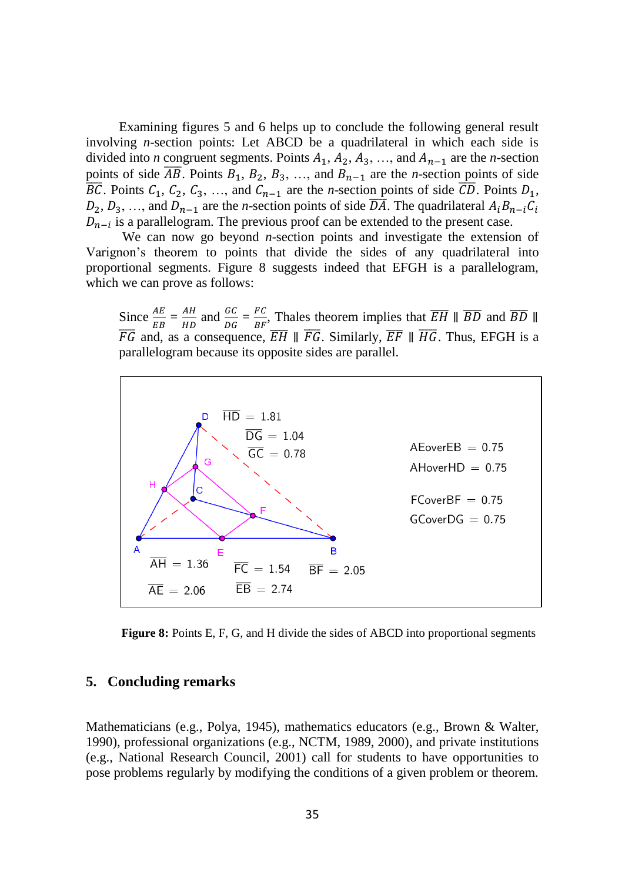Examining figures 5 and 6 helps up to conclude the following general result involving *n*-section points: Let ABCD be a quadrilateral in which each side is divided into *n* congruent segments. Points  $A_1$ ,  $A_2$ ,  $A_3$ , …, and  $A_{n-1}$  are the *n*-section points of side  $\overline{AB}$ . Points  $B_1$ ,  $B_2$ ,  $B_3$ , …, and  $B_{n-1}$  are the *n*-section points of side  $\overline{BC}$ . Points  $C_1$ ,  $C_2$ ,  $C_3$ , …, and  $C_{n-1}$  are the *n*-section points of side  $\overline{CD}$ . Points  $D_1$ ,  $D_2, D_3, \ldots$ , and  $D_{n-1}$  are the *n*-section points of side  $\overline{DA}$ . The quadrilateral  $A_i B_{n-i} C_i$  $D_{n-i}$  is a parallelogram. The previous proof can be extended to the present case.

We can now go beyond *n*-section points and investigate the extension of Varignon's theorem to points that divide the sides of any quadrilateral into proportional segments. Figure 8 suggests indeed that EFGH is a parallelogram, which we can prove as follows:

Since  $\frac{AE}{EB} = \frac{AH}{HD}$  $rac{AH}{HD}$  and  $rac{GC}{DG} = \frac{FC}{BF}$  $\frac{FC}{BF}$ , Thales theorem implies that  $\overline{EH} \parallel \overline{BD}$  and  $\overline{BD} \parallel \overline{BD}$  $\overline{FG}$  and, as a consequence,  $\overline{EH} \parallel \overline{FG}$ . Similarly,  $\overline{EF} \parallel \overline{HG}$ . Thus, EFGH is a parallelogram because its opposite sides are parallel.



**Figure 8:** Points E, F, G, and H divide the sides of ABCD into proportional segments

#### **5. Concluding remarks**

Mathematicians (e.g., Polya, 1945), mathematics educators (e.g., Brown & Walter, 1990), professional organizations (e.g., NCTM, 1989, 2000), and private institutions (e.g., National Research Council, 2001) call for students to have opportunities to pose problems regularly by modifying the conditions of a given problem or theorem.